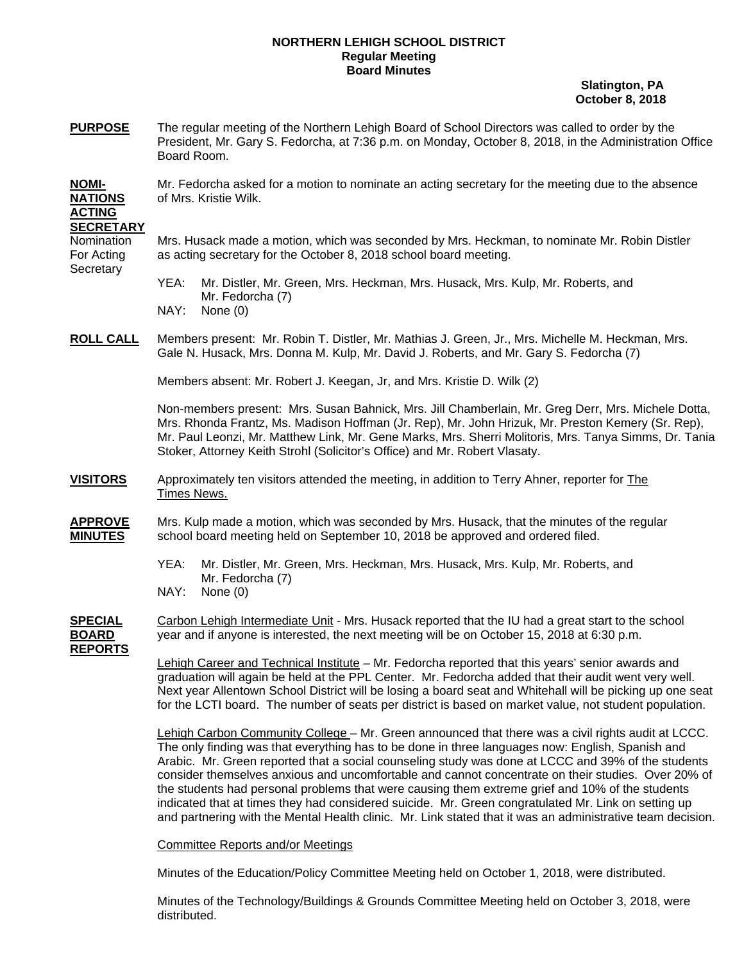## **NORTHERN LEHIGH SCHOOL DISTRICT Regular Meeting Board Minutes**

 **Slatington, PA October 8, 2018** 

**PURPOSE** The regular meeting of the Northern Lehigh Board of School Directors was called to order by the President, Mr. Gary S. Fedorcha, at 7:36 p.m. on Monday, October 8, 2018, in the Administration Office Board Room.

**NOMI-** Mr. Fedorcha asked for a motion to nominate an acting secretary for the meeting due to the absence **NATIONS** of Mrs. Kristie Wilk.

## **ACTING SECRETARY**

**Secretary** 

Nomination Mrs. Husack made a motion, which was seconded by Mrs. Heckman, to nominate Mr. Robin Distler For Acting as acting secretary for the October 8, 2018 school board meeting.

> YEA: Mr. Distler, Mr. Green, Mrs. Heckman, Mrs. Husack, Mrs. Kulp, Mr. Roberts, and Mr. Fedorcha (7)

- NAY: None (0)
- **ROLL CALL** Members present: Mr. Robin T. Distler, Mr. Mathias J. Green, Jr., Mrs. Michelle M. Heckman, Mrs. Gale N. Husack, Mrs. Donna M. Kulp, Mr. David J. Roberts, and Mr. Gary S. Fedorcha (7)

Members absent: Mr. Robert J. Keegan, Jr, and Mrs. Kristie D. Wilk (2)

Non-members present: Mrs. Susan Bahnick, Mrs. Jill Chamberlain, Mr. Greg Derr, Mrs. Michele Dotta, Mrs. Rhonda Frantz, Ms. Madison Hoffman (Jr. Rep), Mr. John Hrizuk, Mr. Preston Kemery (Sr. Rep), Mr. Paul Leonzi, Mr. Matthew Link, Mr. Gene Marks, Mrs. Sherri Molitoris, Mrs. Tanya Simms, Dr. Tania Stoker, Attorney Keith Strohl (Solicitor's Office) and Mr. Robert Vlasaty.

- **VISITORS** Approximately ten visitors attended the meeting, in addition to Terry Ahner, reporter for The Times News.
- **APPROVE** Mrs. Kulp made a motion, which was seconded by Mrs. Husack, that the minutes of the regular **MINUTES** school board meeting held on September 10, 2018 be approved and ordered filed.
	- YEA: Mr. Distler, Mr. Green, Mrs. Heckman, Mrs. Husack, Mrs. Kulp, Mr. Roberts, and Mr. Fedorcha (7)
	- NAY: None (0)

**SPECIAL** Carbon Lehigh Intermediate Unit - Mrs. Husack reported that the IU had a great start to the school **BOARD** year and if anyone is interested, the next meeting will be on October 15, 2018 at 6:30 p.m.

**REPORTS**

 Lehigh Career and Technical Institute – Mr. Fedorcha reported that this years' senior awards and graduation will again be held at the PPL Center. Mr. Fedorcha added that their audit went very well. Next year Allentown School District will be losing a board seat and Whitehall will be picking up one seat for the LCTI board. The number of seats per district is based on market value, not student population.

 Lehigh Carbon Community College – Mr. Green announced that there was a civil rights audit at LCCC. The only finding was that everything has to be done in three languages now: English, Spanish and Arabic. Mr. Green reported that a social counseling study was done at LCCC and 39% of the students consider themselves anxious and uncomfortable and cannot concentrate on their studies. Over 20% of the students had personal problems that were causing them extreme grief and 10% of the students indicated that at times they had considered suicide. Mr. Green congratulated Mr. Link on setting up and partnering with the Mental Health clinic. Mr. Link stated that it was an administrative team decision.

Committee Reports and/or Meetings

Minutes of the Education/Policy Committee Meeting held on October 1, 2018, were distributed.

 Minutes of the Technology/Buildings & Grounds Committee Meeting held on October 3, 2018, were distributed.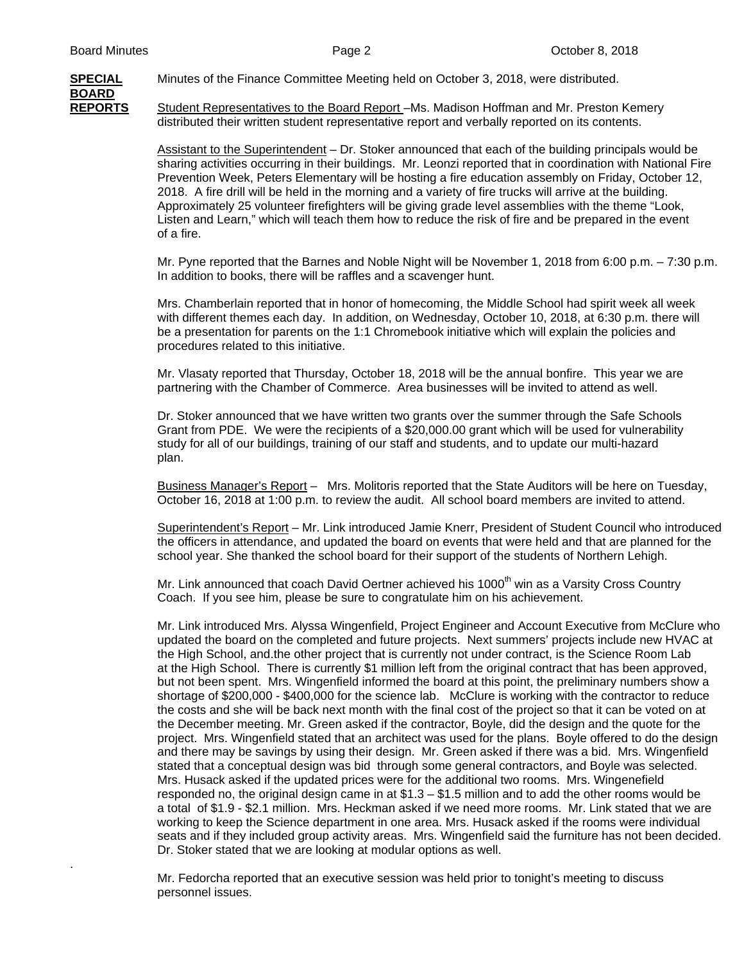**BOARD**

.

**SPECIAL**Minutes of the Finance Committee Meeting held on October 3, 2018, were distributed.

**REPORTS** Student Representatives to the Board Report –Ms. Madison Hoffman and Mr. Preston Kemery distributed their written student representative report and verbally reported on its contents.

> Assistant to the Superintendent – Dr. Stoker announced that each of the building principals would be sharing activities occurring in their buildings. Mr. Leonzi reported that in coordination with National Fire Prevention Week, Peters Elementary will be hosting a fire education assembly on Friday, October 12, 2018. A fire drill will be held in the morning and a variety of fire trucks will arrive at the building. Approximately 25 volunteer firefighters will be giving grade level assemblies with the theme "Look, Listen and Learn," which will teach them how to reduce the risk of fire and be prepared in the event of a fire.

 Mr. Pyne reported that the Barnes and Noble Night will be November 1, 2018 from 6:00 p.m. – 7:30 p.m. In addition to books, there will be raffles and a scavenger hunt.

Mrs. Chamberlain reported that in honor of homecoming, the Middle School had spirit week all week with different themes each day. In addition, on Wednesday, October 10, 2018, at 6:30 p.m. there will be a presentation for parents on the 1:1 Chromebook initiative which will explain the policies and procedures related to this initiative.

Mr. Vlasaty reported that Thursday, October 18, 2018 will be the annual bonfire. This year we are partnering with the Chamber of Commerce. Area businesses will be invited to attend as well.

Dr. Stoker announced that we have written two grants over the summer through the Safe Schools Grant from PDE. We were the recipients of a \$20,000.00 grant which will be used for vulnerability study for all of our buildings, training of our staff and students, and to update our multi-hazard plan.

Business Manager's Report – Mrs. Molitoris reported that the State Auditors will be here on Tuesday, October 16, 2018 at 1:00 p.m. to review the audit. All school board members are invited to attend.

 Superintendent's Report – Mr. Link introduced Jamie Knerr, President of Student Council who introduced the officers in attendance, and updated the board on events that were held and that are planned for the school year. She thanked the school board for their support of the students of Northern Lehigh.

Mr. Link announced that coach David Oertner achieved his 1000<sup>th</sup> win as a Varsity Cross Country Coach. If you see him, please be sure to congratulate him on his achievement.

 Mr. Link introduced Mrs. Alyssa Wingenfield, Project Engineer and Account Executive from McClure who updated the board on the completed and future projects. Next summers' projects include new HVAC at the High School, and.the other project that is currently not under contract, is the Science Room Lab at the High School. There is currently \$1 million left from the original contract that has been approved, but not been spent. Mrs. Wingenfield informed the board at this point, the preliminary numbers show a shortage of \$200,000 - \$400,000 for the science lab. McClure is working with the contractor to reduce the costs and she will be back next month with the final cost of the project so that it can be voted on at the December meeting. Mr. Green asked if the contractor, Boyle, did the design and the quote for the project. Mrs. Wingenfield stated that an architect was used for the plans. Boyle offered to do the design and there may be savings by using their design. Mr. Green asked if there was a bid. Mrs. Wingenfield stated that a conceptual design was bid through some general contractors, and Boyle was selected. Mrs. Husack asked if the updated prices were for the additional two rooms. Mrs. Wingenefield responded no, the original design came in at \$1.3 – \$1.5 million and to add the other rooms would be a total of \$1.9 - \$2.1 million. Mrs. Heckman asked if we need more rooms. Mr. Link stated that we are working to keep the Science department in one area. Mrs. Husack asked if the rooms were individual seats and if they included group activity areas. Mrs. Wingenfield said the furniture has not been decided. Dr. Stoker stated that we are looking at modular options as well.

Mr. Fedorcha reported that an executive session was held prior to tonight's meeting to discuss personnel issues.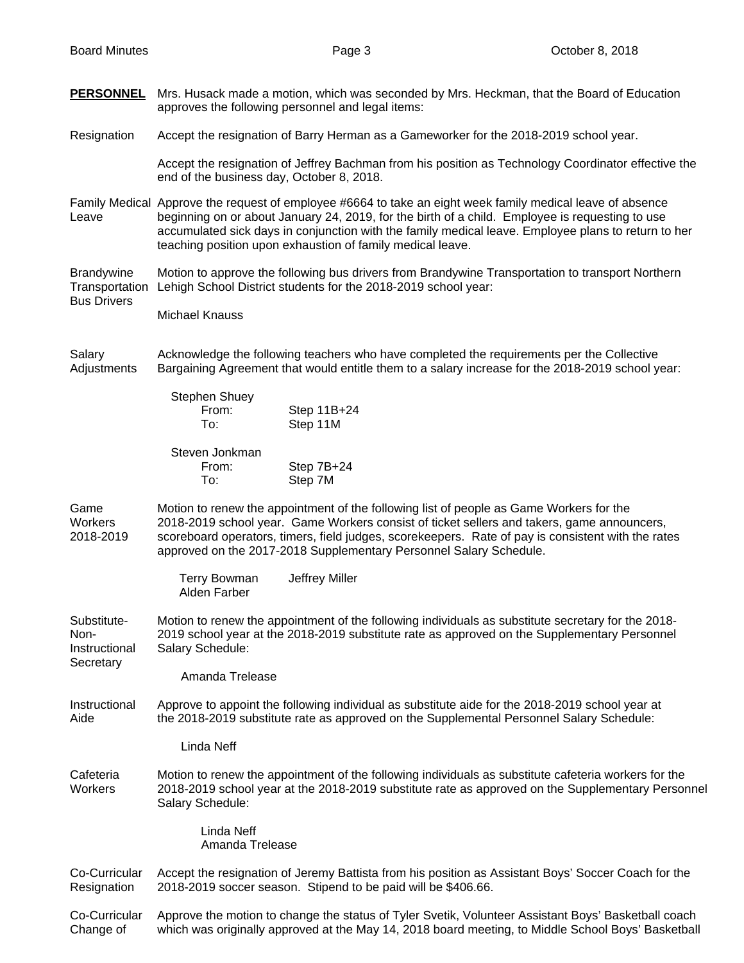**PERSONNEL** Mrs. Husack made a motion, which was seconded by Mrs. Heckman, that the Board of Education approves the following personnel and legal items:

Resignation Accept the resignation of Barry Herman as a Gameworker for the 2018-2019 school year.

 Accept the resignation of Jeffrey Bachman from his position as Technology Coordinator effective the end of the business day, October 8, 2018.

Family Medical Approve the request of employee #6664 to take an eight week family medical leave of absence Leave beginning on or about January 24, 2019, for the birth of a child. Employee is requesting to use accumulated sick days in conjunction with the family medical leave. Employee plans to return to her teaching position upon exhaustion of family medical leave.

Brandywine Motion to approve the following bus drivers from Brandywine Transportation to transport Northern Transportation Lehigh School District students for the 2018-2019 school year:

Bus Drivers

**Secretary** 

Michael Knauss

Salary **Acknowledge the following teachers who have completed the requirements per the Collective** Adjustments Bargaining Agreement that would entitle them to a salary increase for the 2018-2019 school year:

| Stephen Shuey  |             |
|----------------|-------------|
| From:          | Step 11B+24 |
| To:            | Step 11M    |
| Steven Jonkman |             |

 From: Step 7B+24 To: Step 7M

Game Motion to renew the appointment of the following list of people as Game Workers for the Workers 2018-2019 school year. Game Workers consist of ticket sellers and takers, game announcers, 2018-2019 scoreboard operators, timers, field judges, scorekeepers. Rate of pay is consistent with the rates approved on the 2017-2018 Supplementary Personnel Salary Schedule.

> Terry Bowman Jeffrey Miller Alden Farber

Substitute- Motion to renew the appointment of the following individuals as substitute secretary for the 2018- Non- 2019 school year at the 2018-2019 substitute rate as approved on the Supplementary Personnel Instructional Salary Schedule:

Amanda Trelease

## Instructional Approve to appoint the following individual as substitute aide for the 2018-2019 school year at Aide the 2018-2019 substitute rate as approved on the Supplemental Personnel Salary Schedule:

Linda Neff

Cafeteria Motion to renew the appointment of the following individuals as substitute cafeteria workers for the Workers 2018-2019 school year at the 2018-2019 substitute rate as approved on the Supplementary Personnel Salary Schedule:

> Linda Neff Amanda Trelease

Co-Curricular Accept the resignation of Jeremy Battista from his position as Assistant Boys' Soccer Coach for the Resignation 2018-2019 soccer season. Stipend to be paid will be \$406.66.

Co-Curricular Approve the motion to change the status of Tyler Svetik, Volunteer Assistant Boys' Basketball coach Change of which was originally approved at the May 14, 2018 board meeting, to Middle School Boys' Basketball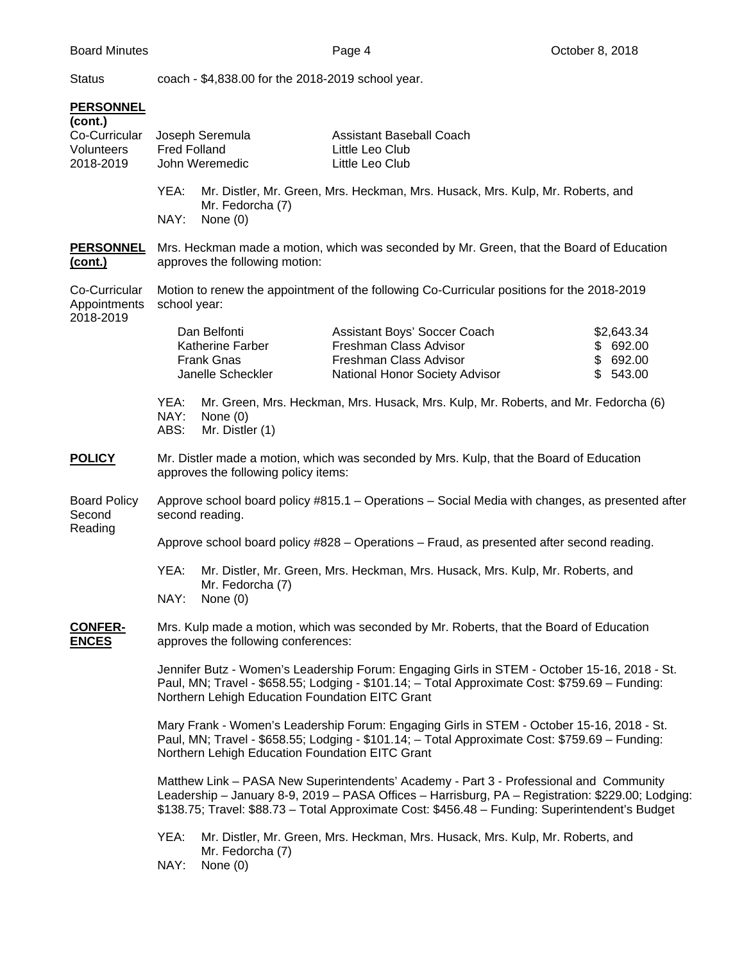Status coach - \$4,838.00 for the 2018-2019 school year.

## **PERSONNEL**

| (cont.)<br>Co-Curricular<br>Volunteers<br>2018-2019 | Joseph Seremula<br><b>Fred Folland</b><br>John Weremedic                                                                                                                                                                                                                                       |                                                                            | <b>Assistant Baseball Coach</b><br>Little Leo Club<br>Little Leo Club                                              |                                                |  |
|-----------------------------------------------------|------------------------------------------------------------------------------------------------------------------------------------------------------------------------------------------------------------------------------------------------------------------------------------------------|----------------------------------------------------------------------------|--------------------------------------------------------------------------------------------------------------------|------------------------------------------------|--|
|                                                     | YEA:<br>NAY:                                                                                                                                                                                                                                                                                   | Mr. Fedorcha (7)<br>None $(0)$                                             | Mr. Distler, Mr. Green, Mrs. Heckman, Mrs. Husack, Mrs. Kulp, Mr. Roberts, and                                     |                                                |  |
| <b>PERSONNEL</b><br><u>(cont.)</u>                  | Mrs. Heckman made a motion, which was seconded by Mr. Green, that the Board of Education<br>approves the following motion:                                                                                                                                                                     |                                                                            |                                                                                                                    |                                                |  |
| Co-Curricular<br>Appointments<br>2018-2019          | Motion to renew the appointment of the following Co-Curricular positions for the 2018-2019<br>school year:                                                                                                                                                                                     |                                                                            |                                                                                                                    |                                                |  |
|                                                     |                                                                                                                                                                                                                                                                                                | Dan Belfonti<br>Katherine Farber<br><b>Frank Gnas</b><br>Janelle Scheckler | Assistant Boys' Soccer Coach<br>Freshman Class Advisor<br>Freshman Class Advisor<br>National Honor Society Advisor | \$2,643.34<br>\$692.00<br>\$692.00<br>\$543.00 |  |
|                                                     | YEA:<br>NAY:<br>ABS:                                                                                                                                                                                                                                                                           | None $(0)$<br>Mr. Distler (1)                                              | Mr. Green, Mrs. Heckman, Mrs. Husack, Mrs. Kulp, Mr. Roberts, and Mr. Fedorcha (6)                                 |                                                |  |
| <b>POLICY</b>                                       | Mr. Distler made a motion, which was seconded by Mrs. Kulp, that the Board of Education<br>approves the following policy items:                                                                                                                                                                |                                                                            |                                                                                                                    |                                                |  |
| <b>Board Policy</b><br>Second<br>Reading            | Approve school board policy #815.1 - Operations - Social Media with changes, as presented after<br>second reading.                                                                                                                                                                             |                                                                            |                                                                                                                    |                                                |  |
|                                                     | Approve school board policy #828 - Operations - Fraud, as presented after second reading.                                                                                                                                                                                                      |                                                                            |                                                                                                                    |                                                |  |
|                                                     | YEA:<br>NAY:                                                                                                                                                                                                                                                                                   | Mr. Fedorcha (7)<br>None $(0)$                                             | Mr. Distler, Mr. Green, Mrs. Heckman, Mrs. Husack, Mrs. Kulp, Mr. Roberts, and                                     |                                                |  |
| <b>CONFER-</b><br><b>ENCES</b>                      | Mrs. Kulp made a motion, which was seconded by Mr. Roberts, that the Board of Education<br>approves the following conferences:                                                                                                                                                                 |                                                                            |                                                                                                                    |                                                |  |
|                                                     | Jennifer Butz - Women's Leadership Forum: Engaging Girls in STEM - October 15-16, 2018 - St.<br>Paul, MN; Travel - \$658.55; Lodging - \$101.14; - Total Approximate Cost: \$759.69 - Funding:<br>Northern Lehigh Education Foundation EITC Grant                                              |                                                                            |                                                                                                                    |                                                |  |
|                                                     | Mary Frank - Women's Leadership Forum: Engaging Girls in STEM - October 15-16, 2018 - St.<br>Paul, MN; Travel - \$658.55; Lodging - \$101.14; - Total Approximate Cost: \$759.69 - Funding:<br>Northern Lehigh Education Foundation EITC Grant                                                 |                                                                            |                                                                                                                    |                                                |  |
|                                                     | Matthew Link - PASA New Superintendents' Academy - Part 3 - Professional and Community<br>Leadership - January 8-9, 2019 - PASA Offices - Harrisburg, PA - Registration: \$229.00; Lodging:<br>\$138.75; Travel: \$88.73 - Total Approximate Cost: \$456.48 - Funding: Superintendent's Budget |                                                                            |                                                                                                                    |                                                |  |
|                                                     | YEA:<br>NAY:                                                                                                                                                                                                                                                                                   | Mr. Fedorcha (7)<br>None $(0)$                                             | Mr. Distler, Mr. Green, Mrs. Heckman, Mrs. Husack, Mrs. Kulp, Mr. Roberts, and                                     |                                                |  |
|                                                     |                                                                                                                                                                                                                                                                                                |                                                                            |                                                                                                                    |                                                |  |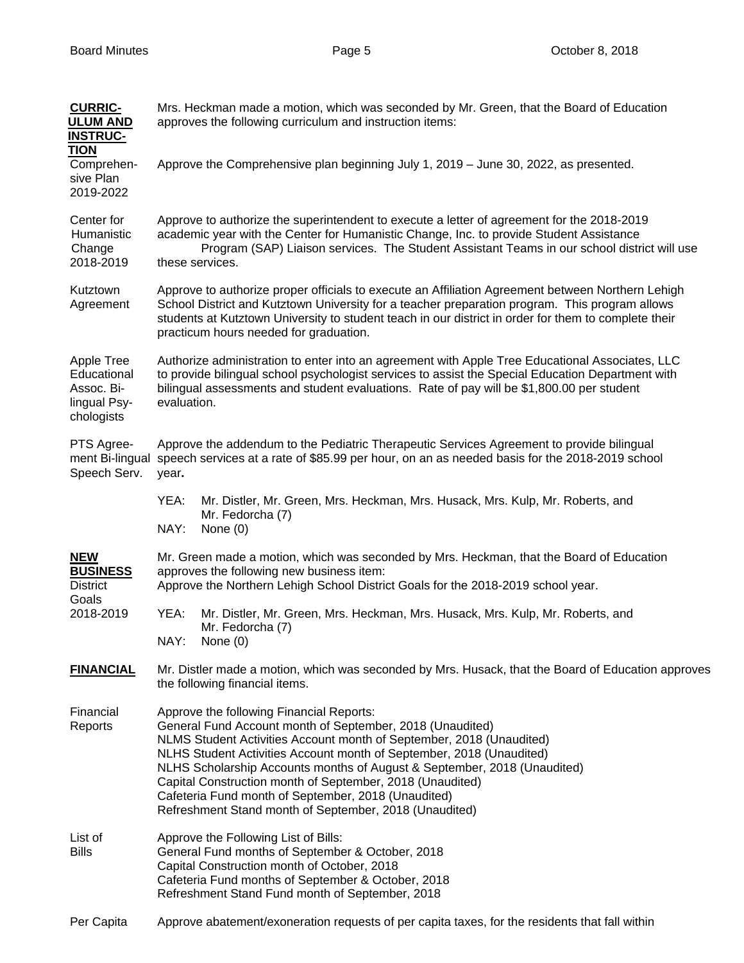| <b>CURRIC-</b><br><b>ULUM AND</b><br><b>INSTRUC-</b>                  | Mrs. Heckman made a motion, which was seconded by Mr. Green, that the Board of Education<br>approves the following curriculum and instruction items:                                                                                                                                                                                                                                                                                                                                                            |
|-----------------------------------------------------------------------|-----------------------------------------------------------------------------------------------------------------------------------------------------------------------------------------------------------------------------------------------------------------------------------------------------------------------------------------------------------------------------------------------------------------------------------------------------------------------------------------------------------------|
| <b>TION</b><br>Comprehen-<br>sive Plan<br>2019-2022                   | Approve the Comprehensive plan beginning July 1, 2019 - June 30, 2022, as presented.                                                                                                                                                                                                                                                                                                                                                                                                                            |
| Center for<br>Humanistic<br>Change<br>2018-2019                       | Approve to authorize the superintendent to execute a letter of agreement for the 2018-2019<br>academic year with the Center for Humanistic Change, Inc. to provide Student Assistance<br>Program (SAP) Liaison services. The Student Assistant Teams in our school district will use<br>these services.                                                                                                                                                                                                         |
| Kutztown<br>Agreement                                                 | Approve to authorize proper officials to execute an Affiliation Agreement between Northern Lehigh<br>School District and Kutztown University for a teacher preparation program. This program allows<br>students at Kutztown University to student teach in our district in order for them to complete their<br>practicum hours needed for graduation.                                                                                                                                                           |
| Apple Tree<br>Educational<br>Assoc. Bi-<br>lingual Psy-<br>chologists | Authorize administration to enter into an agreement with Apple Tree Educational Associates, LLC<br>to provide bilingual school psychologist services to assist the Special Education Department with<br>bilingual assessments and student evaluations. Rate of pay will be \$1,800.00 per student<br>evaluation.                                                                                                                                                                                                |
| PTS Agree-<br>Speech Serv.                                            | Approve the addendum to the Pediatric Therapeutic Services Agreement to provide bilingual<br>ment Bi-lingual speech services at a rate of \$85.99 per hour, on an as needed basis for the 2018-2019 school<br>year.                                                                                                                                                                                                                                                                                             |
|                                                                       | Mr. Distler, Mr. Green, Mrs. Heckman, Mrs. Husack, Mrs. Kulp, Mr. Roberts, and<br>YEA:<br>Mr. Fedorcha (7)<br>NAY:<br>None $(0)$                                                                                                                                                                                                                                                                                                                                                                                |
| <b>NEW</b><br><b>BUSINESS</b><br><b>District</b><br>Goals             | Mr. Green made a motion, which was seconded by Mrs. Heckman, that the Board of Education<br>approves the following new business item:<br>Approve the Northern Lehigh School District Goals for the 2018-2019 school year.                                                                                                                                                                                                                                                                                       |
| 2018-2019                                                             | YEA:<br>Mr. Distler, Mr. Green, Mrs. Heckman, Mrs. Husack, Mrs. Kulp, Mr. Roberts, and<br>Mr. Fedorcha (7)<br>NAY:<br>None (0)                                                                                                                                                                                                                                                                                                                                                                                  |
| <b>FINANCIAL</b>                                                      | Mr. Distler made a motion, which was seconded by Mrs. Husack, that the Board of Education approves<br>the following financial items.                                                                                                                                                                                                                                                                                                                                                                            |
| Financial<br>Reports                                                  | Approve the following Financial Reports:<br>General Fund Account month of September, 2018 (Unaudited)<br>NLMS Student Activities Account month of September, 2018 (Unaudited)<br>NLHS Student Activities Account month of September, 2018 (Unaudited)<br>NLHS Scholarship Accounts months of August & September, 2018 (Unaudited)<br>Capital Construction month of September, 2018 (Unaudited)<br>Cafeteria Fund month of September, 2018 (Unaudited)<br>Refreshment Stand month of September, 2018 (Unaudited) |
| List of<br><b>Bills</b>                                               | Approve the Following List of Bills:<br>General Fund months of September & October, 2018<br>Capital Construction month of October, 2018<br>Cafeteria Fund months of September & October, 2018<br>Refreshment Stand Fund month of September, 2018                                                                                                                                                                                                                                                                |
| Per Capita                                                            | Approve abatement/exoneration requests of per capita taxes, for the residents that fall within                                                                                                                                                                                                                                                                                                                                                                                                                  |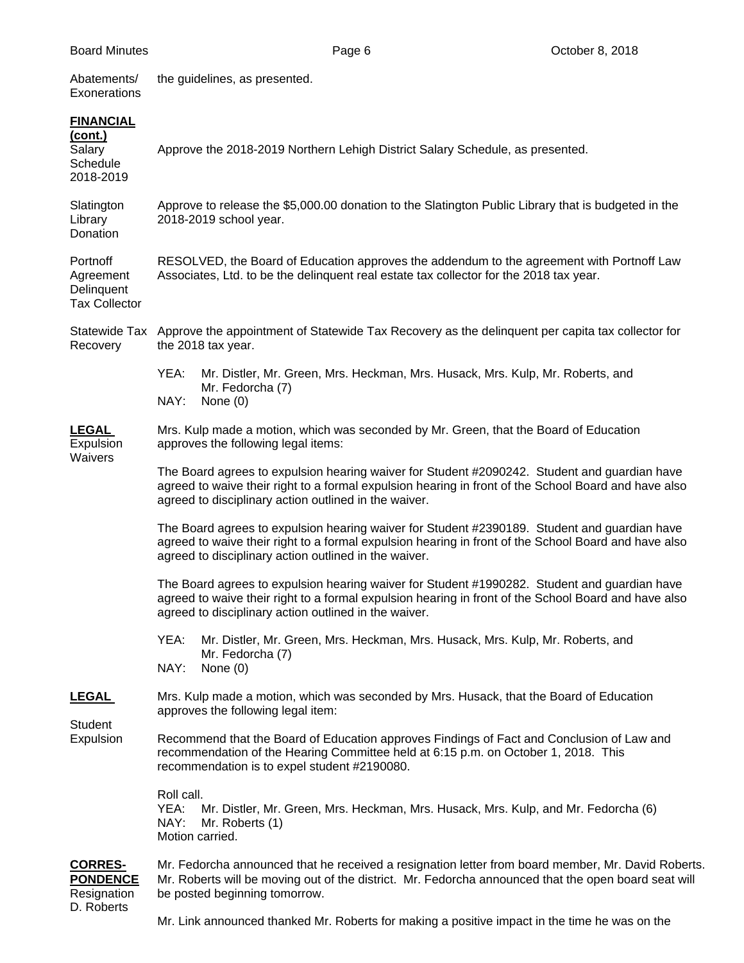| Abatements/<br>Exonerations                                    | the guidelines, as presented.                                                                                                                                                                                                                                 |                                                                                                                                                                                                                                                               |  |  |
|----------------------------------------------------------------|---------------------------------------------------------------------------------------------------------------------------------------------------------------------------------------------------------------------------------------------------------------|---------------------------------------------------------------------------------------------------------------------------------------------------------------------------------------------------------------------------------------------------------------|--|--|
| <b>FINANCIAL</b><br>(cont.)<br>Salary<br>Schedule<br>2018-2019 | Approve the 2018-2019 Northern Lehigh District Salary Schedule, as presented.                                                                                                                                                                                 |                                                                                                                                                                                                                                                               |  |  |
| Slatington<br>Library<br>Donation                              | Approve to release the \$5,000.00 donation to the Slatington Public Library that is budgeted in the<br>2018-2019 school year.                                                                                                                                 |                                                                                                                                                                                                                                                               |  |  |
| Portnoff<br>Agreement<br>Delinquent<br><b>Tax Collector</b>    | RESOLVED, the Board of Education approves the addendum to the agreement with Portnoff Law<br>Associates, Ltd. to be the delinquent real estate tax collector for the 2018 tax year.                                                                           |                                                                                                                                                                                                                                                               |  |  |
| Recovery                                                       | Statewide Tax Approve the appointment of Statewide Tax Recovery as the delinquent per capita tax collector for<br>the 2018 tax year.                                                                                                                          |                                                                                                                                                                                                                                                               |  |  |
|                                                                | YEA:<br>NAY:                                                                                                                                                                                                                                                  | Mr. Distler, Mr. Green, Mrs. Heckman, Mrs. Husack, Mrs. Kulp, Mr. Roberts, and<br>Mr. Fedorcha (7)<br>None (0)                                                                                                                                                |  |  |
| <b>LEGAL</b><br>Expulsion<br>Waivers                           | Mrs. Kulp made a motion, which was seconded by Mr. Green, that the Board of Education<br>approves the following legal items:                                                                                                                                  |                                                                                                                                                                                                                                                               |  |  |
|                                                                | The Board agrees to expulsion hearing waiver for Student #2090242. Student and guardian have<br>agreed to waive their right to a formal expulsion hearing in front of the School Board and have also<br>agreed to disciplinary action outlined in the waiver. |                                                                                                                                                                                                                                                               |  |  |
|                                                                | The Board agrees to expulsion hearing waiver for Student #2390189. Student and guardian have<br>agreed to waive their right to a formal expulsion hearing in front of the School Board and have also<br>agreed to disciplinary action outlined in the waiver. |                                                                                                                                                                                                                                                               |  |  |
|                                                                |                                                                                                                                                                                                                                                               | The Board agrees to expulsion hearing waiver for Student #1990282. Student and guardian have<br>agreed to waive their right to a formal expulsion hearing in front of the School Board and have also<br>agreed to disciplinary action outlined in the waiver. |  |  |
|                                                                | YEA:<br>NAY:                                                                                                                                                                                                                                                  | Mr. Distler, Mr. Green, Mrs. Heckman, Mrs. Husack, Mrs. Kulp, Mr. Roberts, and<br>Mr. Fedorcha (7)<br>None $(0)$                                                                                                                                              |  |  |
| <b>LEGAL</b><br>Student<br>Expulsion                           | Mrs. Kulp made a motion, which was seconded by Mrs. Husack, that the Board of Education<br>approves the following legal item:                                                                                                                                 |                                                                                                                                                                                                                                                               |  |  |
|                                                                | Recommend that the Board of Education approves Findings of Fact and Conclusion of Law and<br>recommendation of the Hearing Committee held at 6:15 p.m. on October 1, 2018. This<br>recommendation is to expel student #2190080.                               |                                                                                                                                                                                                                                                               |  |  |
|                                                                | Roll call.<br>YEA:<br>NAY:<br>Motion carried.                                                                                                                                                                                                                 | Mr. Distler, Mr. Green, Mrs. Heckman, Mrs. Husack, Mrs. Kulp, and Mr. Fedorcha (6)<br>Mr. Roberts (1)                                                                                                                                                         |  |  |
| <b>CORRES-</b><br><b>PONDENCE</b><br>Resignation<br>D. Roberts | Mr. Fedorcha announced that he received a resignation letter from board member, Mr. David Roberts.<br>Mr. Roberts will be moving out of the district. Mr. Fedorcha announced that the open board seat will<br>be posted beginning tomorrow.                   |                                                                                                                                                                                                                                                               |  |  |

Mr. Link announced thanked Mr. Roberts for making a positive impact in the time he was on the